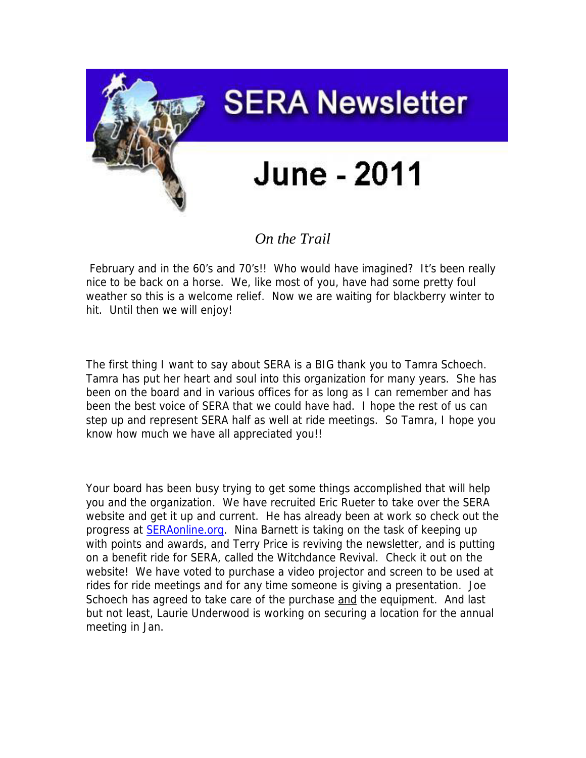

## *On the Trail*

February and in the 60's and 70's!! Who would have imagined? It's been really nice to be back on a horse. We, like most of you, have had some pretty foul weather so this is a welcome relief. Now we are waiting for blackberry winter to hit. Until then we will enjoy!

The first thing I want to say about SERA is a BIG thank you to Tamra Schoech. Tamra has put her heart and soul into this organization for many years. She has been on the board and in various offices for as long as I can remember and has been the best voice of SERA that we could have had. I hope the rest of us can step up and represent SERA half as well at ride meetings. So Tamra, I hope you know how much we have all appreciated you!!

Your board has been busy trying to get some things accomplished that will help you and the organization. We have recruited Eric Rueter to take over the SERA website and get it up and current. He has already been at work so check out the progress at [SERAonline.org.](http://seraonline.org/) Nina Barnett is taking on the task of keeping up with points and awards, and Terry Price is reviving the newsletter, and is putting on a benefit ride for SERA, called the Witchdance Revival. Check it out on the website! We have voted to purchase a video projector and screen to be used at rides for ride meetings and for any time someone is giving a presentation. Joe Schoech has agreed to take care of the purchase and the equipment. And last but not least, Laurie Underwood is working on securing a location for the annual meeting in Jan.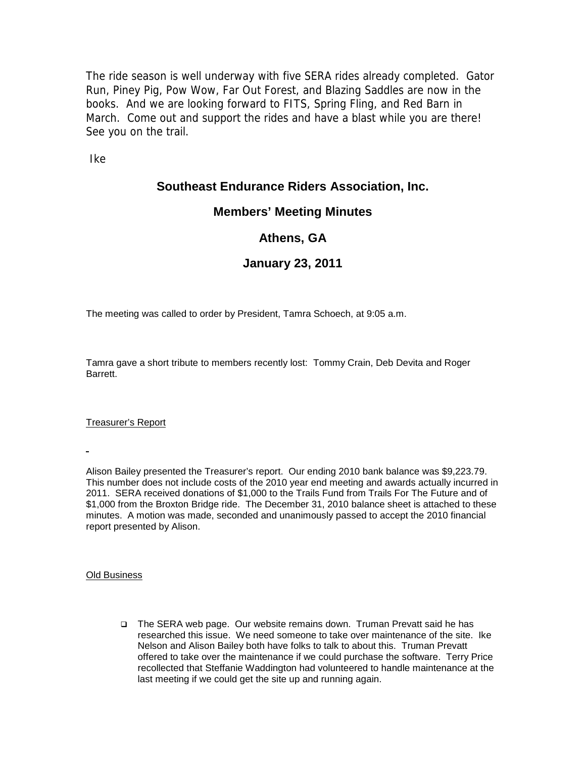The ride season is well underway with five SERA rides already completed. Gator Run, Piney Pig, Pow Wow, Far Out Forest, and Blazing Saddles are now in the books. And we are looking forward to FITS, Spring Fling, and Red Barn in March. Come out and support the rides and have a blast while you are there! See you on the trail.

Ike

## **Southeast Endurance Riders Association, Inc.**

#### **Members' Meeting Minutes**

## **Athens, GA**

## **January 23, 2011**

The meeting was called to order by President, Tamra Schoech, at 9:05 a.m.

Tamra gave a short tribute to members recently lost: Tommy Crain, Deb Devita and Roger Barrett.

Treasurer's Report

Alison Bailey presented the Treasurer's report. Our ending 2010 bank balance was \$9,223.79. This number does not include costs of the 2010 year end meeting and awards actually incurred in 2011. SERA received donations of \$1,000 to the Trails Fund from Trails For The Future and of \$1,000 from the Broxton Bridge ride. The December 31, 2010 balance sheet is attached to these minutes. A motion was made, seconded and unanimously passed to accept the 2010 financial report presented by Alison.

Old Business

□ The SERA web page. Our website remains down. Truman Prevatt said he has researched this issue. We need someone to take over maintenance of the site. Ike Nelson and Alison Bailey both have folks to talk to about this. Truman Prevatt offered to take over the maintenance if we could purchase the software. Terry Price recollected that Steffanie Waddington had volunteered to handle maintenance at the last meeting if we could get the site up and running again.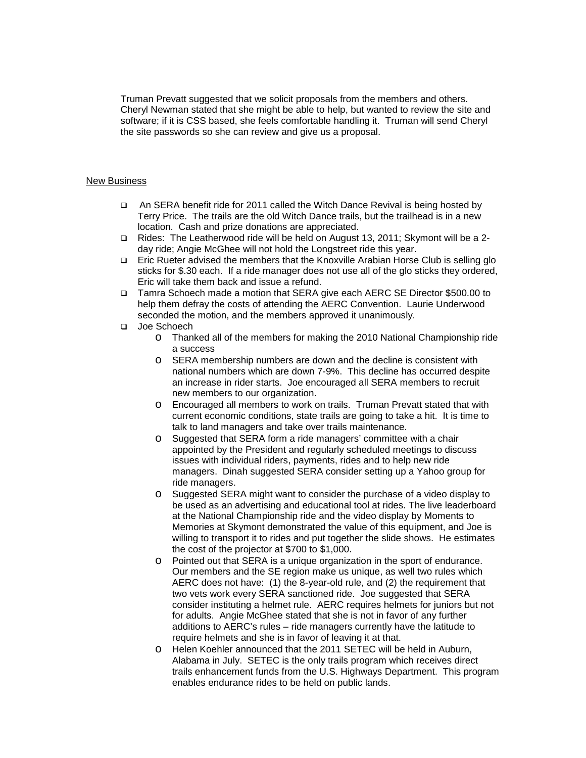Truman Prevatt suggested that we solicit proposals from the members and others. Cheryl Newman stated that she might be able to help, but wanted to review the site and software; if it is CSS based, she feels comfortable handling it. Truman will send Cheryl the site passwords so she can review and give us a proposal.

#### New Business

- An SERA benefit ride for 2011 called the Witch Dance Revival is being hosted by Terry Price. The trails are the old Witch Dance trails, but the trailhead is in a new location. Cash and prize donations are appreciated.
- Rides: The Leatherwood ride will be held on August 13, 2011; Skymont will be a 2 day ride; Angie McGhee will not hold the Longstreet ride this year.
- Eric Rueter advised the members that the Knoxville Arabian Horse Club is selling glo sticks for \$.30 each. If a ride manager does not use all of the glo sticks they ordered, Eric will take them back and issue a refund.
- Tamra Schoech made a motion that SERA give each AERC SE Director \$500.00 to help them defray the costs of attending the AERC Convention. Laurie Underwood seconded the motion, and the members approved it unanimously.
- Joe Schoech
	- o Thanked all of the members for making the 2010 National Championship ride a success
	- o SERA membership numbers are down and the decline is consistent with national numbers which are down 7-9%. This decline has occurred despite an increase in rider starts. Joe encouraged all SERA members to recruit new members to our organization.
	- o Encouraged all members to work on trails. Truman Prevatt stated that with current economic conditions, state trails are going to take a hit. It is time to talk to land managers and take over trails maintenance.
	- o Suggested that SERA form a ride managers' committee with a chair appointed by the President and regularly scheduled meetings to discuss issues with individual riders, payments, rides and to help new ride managers. Dinah suggested SERA consider setting up a Yahoo group for ride managers.
	- o Suggested SERA might want to consider the purchase of a video display to be used as an advertising and educational tool at rides. The live leaderboard at the National Championship ride and the video display by Moments to Memories at Skymont demonstrated the value of this equipment, and Joe is willing to transport it to rides and put together the slide shows. He estimates the cost of the projector at \$700 to \$1,000.
	- o Pointed out that SERA is a unique organization in the sport of endurance. Our members and the SE region make us unique, as well two rules which AERC does not have: (1) the 8-year-old rule, and (2) the requirement that two vets work every SERA sanctioned ride. Joe suggested that SERA consider instituting a helmet rule. AERC requires helmets for juniors but not for adults. Angie McGhee stated that she is not in favor of any further additions to AERC's rules – ride managers currently have the latitude to require helmets and she is in favor of leaving it at that.
	- o Helen Koehler announced that the 2011 SETEC will be held in Auburn, Alabama in July. SETEC is the only trails program which receives direct trails enhancement funds from the U.S. Highways Department. This program enables endurance rides to be held on public lands.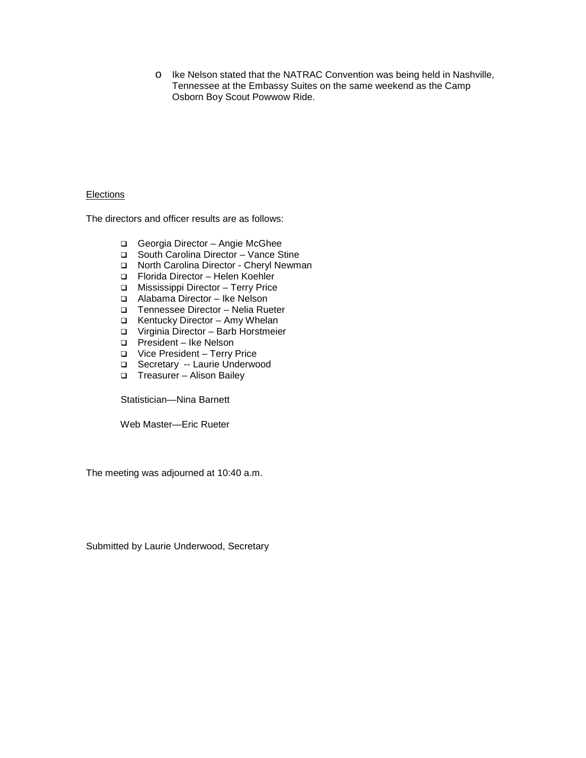o Ike Nelson stated that the NATRAC Convention was being held in Nashville, Tennessee at the Embassy Suites on the same weekend as the Camp Osborn Boy Scout Powwow Ride.

#### **Elections**

The directors and officer results are as follows:

- Georgia Director Angie McGhee
- □ South Carolina Director Vance Stine
- □ North Carolina Director Cheryl Newman
- Florida Director Helen Koehler
- Mississippi Director Terry Price
- Alabama Director Ike Nelson
- Tennessee Director Nelia Rueter
- Kentucky Director Amy Whelan
- Virginia Director Barb Horstmeier
- □ President Ike Nelson
- Vice President Terry Price
- Secretary -- Laurie Underwood
- Treasurer Alison Bailey

Statistician—Nina Barnett

Web Master—Eric Rueter

The meeting was adjourned at 10:40 a.m.

Submitted by Laurie Underwood, Secretary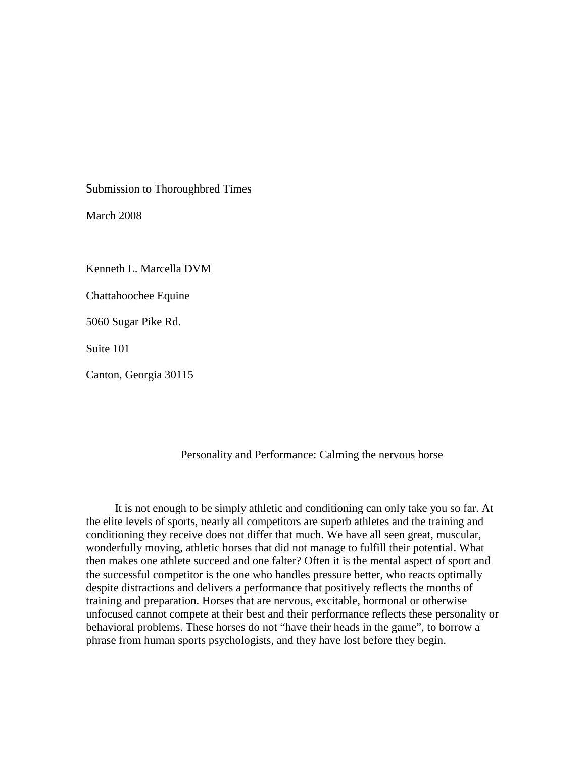Submission to Thoroughbred Times

March 2008

Kenneth L. Marcella DVM

Chattahoochee Equine

5060 Sugar Pike Rd.

Suite 101

Canton, Georgia 30115

#### Personality and Performance: Calming the nervous horse

 It is not enough to be simply athletic and conditioning can only take you so far. At the elite levels of sports, nearly all competitors are superb athletes and the training and conditioning they receive does not differ that much. We have all seen great, muscular, wonderfully moving, athletic horses that did not manage to fulfill their potential. What then makes one athlete succeed and one falter? Often it is the mental aspect of sport and the successful competitor is the one who handles pressure better, who reacts optimally despite distractions and delivers a performance that positively reflects the months of training and preparation. Horses that are nervous, excitable, hormonal or otherwise unfocused cannot compete at their best and their performance reflects these personality or behavioral problems. These horses do not "have their heads in the game", to borrow a phrase from human sports psychologists, and they have lost before they begin.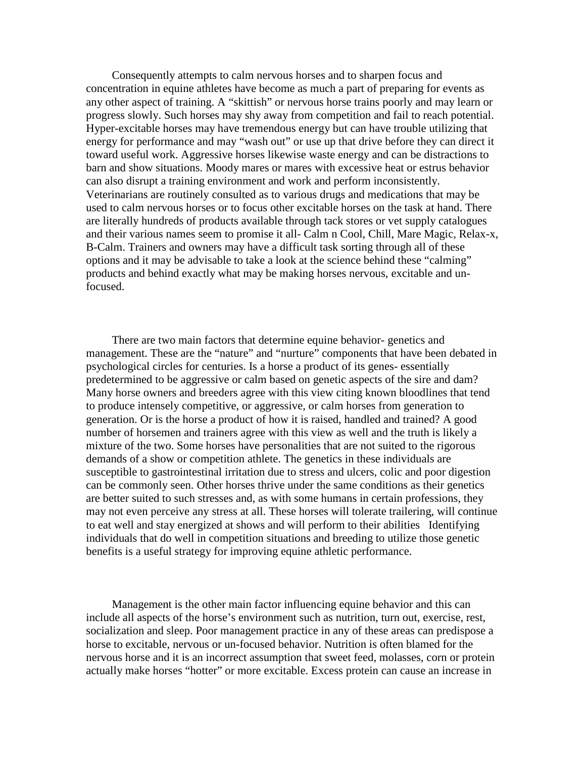Consequently attempts to calm nervous horses and to sharpen focus and concentration in equine athletes have become as much a part of preparing for events as any other aspect of training. A "skittish" or nervous horse trains poorly and may learn or progress slowly. Such horses may shy away from competition and fail to reach potential. Hyper-excitable horses may have tremendous energy but can have trouble utilizing that energy for performance and may "wash out" or use up that drive before they can direct it toward useful work. Aggressive horses likewise waste energy and can be distractions to barn and show situations. Moody mares or mares with excessive heat or estrus behavior can also disrupt a training environment and work and perform inconsistently. Veterinarians are routinely consulted as to various drugs and medications that may be used to calm nervous horses or to focus other excitable horses on the task at hand. There are literally hundreds of products available through tack stores or vet supply catalogues and their various names seem to promise it all- Calm n Cool, Chill, Mare Magic, Relax-x, B-Calm. Trainers and owners may have a difficult task sorting through all of these options and it may be advisable to take a look at the science behind these "calming" products and behind exactly what may be making horses nervous, excitable and unfocused.

 There are two main factors that determine equine behavior- genetics and management. These are the "nature" and "nurture" components that have been debated in psychological circles for centuries. Is a horse a product of its genes- essentially predetermined to be aggressive or calm based on genetic aspects of the sire and dam? Many horse owners and breeders agree with this view citing known bloodlines that tend to produce intensely competitive, or aggressive, or calm horses from generation to generation. Or is the horse a product of how it is raised, handled and trained? A good number of horsemen and trainers agree with this view as well and the truth is likely a mixture of the two. Some horses have personalities that are not suited to the rigorous demands of a show or competition athlete. The genetics in these individuals are susceptible to gastrointestinal irritation due to stress and ulcers, colic and poor digestion can be commonly seen. Other horses thrive under the same conditions as their genetics are better suited to such stresses and, as with some humans in certain professions, they may not even perceive any stress at all. These horses will tolerate trailering, will continue to eat well and stay energized at shows and will perform to their abilities Identifying individuals that do well in competition situations and breeding to utilize those genetic benefits is a useful strategy for improving equine athletic performance.

 Management is the other main factor influencing equine behavior and this can include all aspects of the horse's environment such as nutrition, turn out, exercise, rest, socialization and sleep. Poor management practice in any of these areas can predispose a horse to excitable, nervous or un-focused behavior. Nutrition is often blamed for the nervous horse and it is an incorrect assumption that sweet feed, molasses, corn or protein actually make horses "hotter" or more excitable. Excess protein can cause an increase in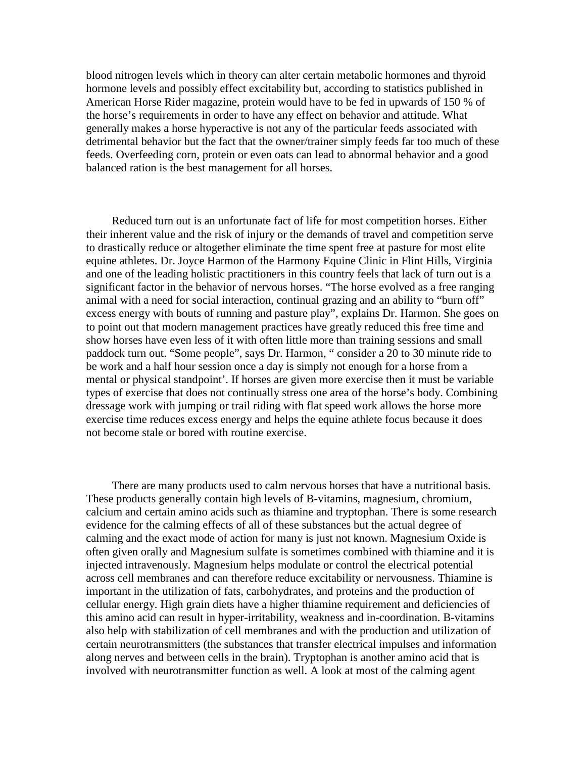blood nitrogen levels which in theory can alter certain metabolic hormones and thyroid hormone levels and possibly effect excitability but, according to statistics published in American Horse Rider magazine, protein would have to be fed in upwards of 150 % of the horse's requirements in order to have any effect on behavior and attitude. What generally makes a horse hyperactive is not any of the particular feeds associated with detrimental behavior but the fact that the owner/trainer simply feeds far too much of these feeds. Overfeeding corn, protein or even oats can lead to abnormal behavior and a good balanced ration is the best management for all horses.

 Reduced turn out is an unfortunate fact of life for most competition horses. Either their inherent value and the risk of injury or the demands of travel and competition serve to drastically reduce or altogether eliminate the time spent free at pasture for most elite equine athletes. Dr. Joyce Harmon of the Harmony Equine Clinic in Flint Hills, Virginia and one of the leading holistic practitioners in this country feels that lack of turn out is a significant factor in the behavior of nervous horses. "The horse evolved as a free ranging animal with a need for social interaction, continual grazing and an ability to "burn off" excess energy with bouts of running and pasture play", explains Dr. Harmon. She goes on to point out that modern management practices have greatly reduced this free time and show horses have even less of it with often little more than training sessions and small paddock turn out. "Some people", says Dr. Harmon, " consider a 20 to 30 minute ride to be work and a half hour session once a day is simply not enough for a horse from a mental or physical standpoint'. If horses are given more exercise then it must be variable types of exercise that does not continually stress one area of the horse's body. Combining dressage work with jumping or trail riding with flat speed work allows the horse more exercise time reduces excess energy and helps the equine athlete focus because it does not become stale or bored with routine exercise.

 There are many products used to calm nervous horses that have a nutritional basis. These products generally contain high levels of B-vitamins, magnesium, chromium, calcium and certain amino acids such as thiamine and tryptophan. There is some research evidence for the calming effects of all of these substances but the actual degree of calming and the exact mode of action for many is just not known. Magnesium Oxide is often given orally and Magnesium sulfate is sometimes combined with thiamine and it is injected intravenously. Magnesium helps modulate or control the electrical potential across cell membranes and can therefore reduce excitability or nervousness. Thiamine is important in the utilization of fats, carbohydrates, and proteins and the production of cellular energy. High grain diets have a higher thiamine requirement and deficiencies of this amino acid can result in hyper-irritability, weakness and in-coordination. B-vitamins also help with stabilization of cell membranes and with the production and utilization of certain neurotransmitters (the substances that transfer electrical impulses and information along nerves and between cells in the brain). Tryptophan is another amino acid that is involved with neurotransmitter function as well. A look at most of the calming agent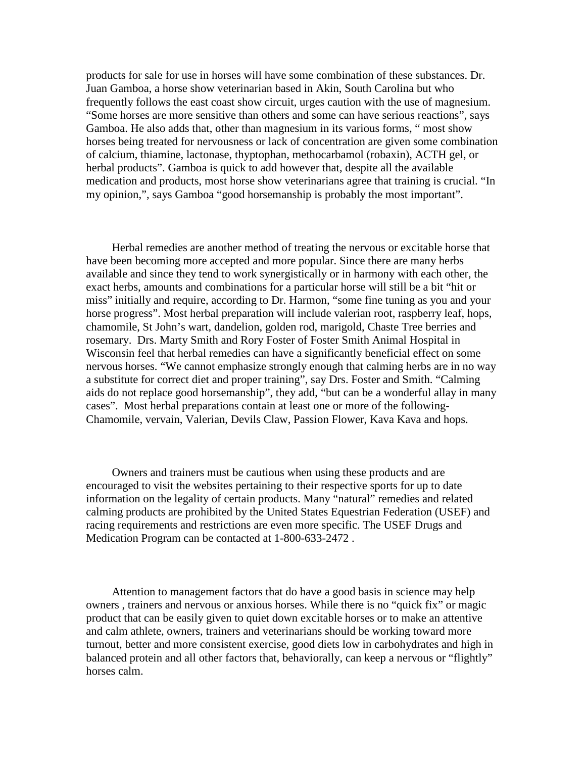products for sale for use in horses will have some combination of these substances. Dr. Juan Gamboa, a horse show veterinarian based in Akin, South Carolina but who frequently follows the east coast show circuit, urges caution with the use of magnesium. "Some horses are more sensitive than others and some can have serious reactions", says Gamboa. He also adds that, other than magnesium in its various forms, " most show horses being treated for nervousness or lack of concentration are given some combination of calcium, thiamine, lactonase, thyptophan, methocarbamol (robaxin), ACTH gel, or herbal products". Gamboa is quick to add however that, despite all the available medication and products, most horse show veterinarians agree that training is crucial. "In my opinion,", says Gamboa "good horsemanship is probably the most important".

 Herbal remedies are another method of treating the nervous or excitable horse that have been becoming more accepted and more popular. Since there are many herbs available and since they tend to work synergistically or in harmony with each other, the exact herbs, amounts and combinations for a particular horse will still be a bit "hit or miss" initially and require, according to Dr. Harmon, "some fine tuning as you and your horse progress". Most herbal preparation will include valerian root, raspberry leaf, hops, chamomile, St John's wart, dandelion, golden rod, marigold, Chaste Tree berries and rosemary. Drs. Marty Smith and Rory Foster of Foster Smith Animal Hospital in Wisconsin feel that herbal remedies can have a significantly beneficial effect on some nervous horses. "We cannot emphasize strongly enough that calming herbs are in no way a substitute for correct diet and proper training", say Drs. Foster and Smith. "Calming aids do not replace good horsemanship", they add, "but can be a wonderful allay in many cases". Most herbal preparations contain at least one or more of the following-Chamomile, vervain, Valerian, Devils Claw, Passion Flower, Kava Kava and hops.

 Owners and trainers must be cautious when using these products and are encouraged to visit the websites pertaining to their respective sports for up to date information on the legality of certain products. Many "natural" remedies and related calming products are prohibited by the United States Equestrian Federation (USEF) and racing requirements and restrictions are even more specific. The USEF Drugs and Medication Program can be contacted at 1-800-633-2472 .

 Attention to management factors that do have a good basis in science may help owners , trainers and nervous or anxious horses. While there is no "quick fix" or magic product that can be easily given to quiet down excitable horses or to make an attentive and calm athlete, owners, trainers and veterinarians should be working toward more turnout, better and more consistent exercise, good diets low in carbohydrates and high in balanced protein and all other factors that, behaviorally, can keep a nervous or "flightly" horses calm.